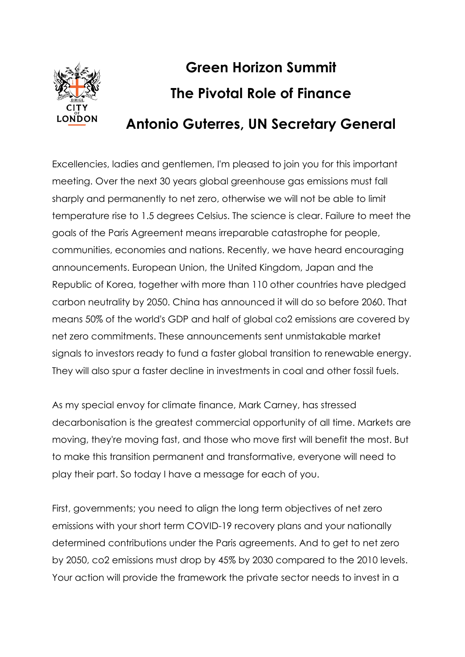

## **Green Horizon Summit The Pivotal Role of Finance Antonio Guterres, UN Secretary General**

Excellencies, ladies and gentlemen, I'm pleased to join you for this important meeting. Over the next 30 years global greenhouse gas emissions must fall sharply and permanently to net zero, otherwise we will not be able to limit temperature rise to 1.5 degrees Celsius. The science is clear. Failure to meet the goals of the Paris Agreement means irreparable catastrophe for people, communities, economies and nations. Recently, we have heard encouraging announcements. European Union, the United Kingdom, Japan and the Republic of Korea, together with more than 110 other countries have pledged carbon neutrality by 2050. China has announced it will do so before 2060. That means 50% of the world's GDP and half of global co2 emissions are covered by net zero commitments. These announcements sent unmistakable market signals to investors ready to fund a faster global transition to renewable energy. They will also spur a faster decline in investments in coal and other fossil fuels.

As my special envoy for climate finance, Mark Carney, has stressed decarbonisation is the greatest commercial opportunity of all time. Markets are moving, they're moving fast, and those who move first will benefit the most. But to make this transition permanent and transformative, everyone will need to play their part. So today I have a message for each of you.

First, governments; you need to align the long term objectives of net zero emissions with your short term COVID-19 recovery plans and your nationally determined contributions under the Paris agreements. And to get to net zero by 2050, co2 emissions must drop by 45% by 2030 compared to the 2010 levels. Your action will provide the framework the private sector needs to invest in a